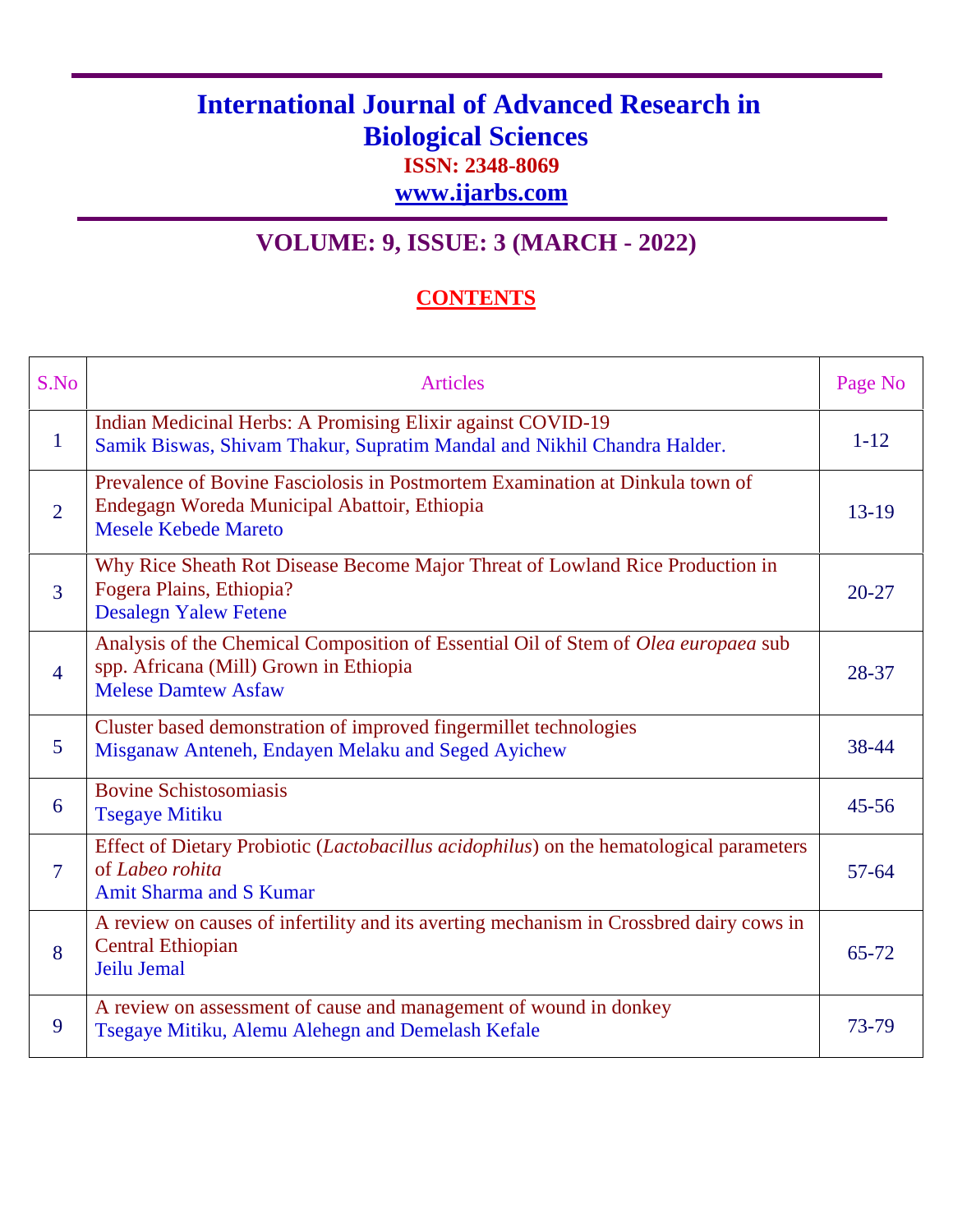## **International Journal of Advanced Research in Biological Sciences ISSN: 2348-8069**

**www.ijarbs.com**

## **VOLUME: 9, ISSUE: 3 (MARCH - 2022)**

## **CONTENTS**

| S.No              | <b>Articles</b>                                                                                                                                              | Page No   |
|-------------------|--------------------------------------------------------------------------------------------------------------------------------------------------------------|-----------|
| $\mathbf{1}$      | Indian Medicinal Herbs: A Promising Elixir against COVID-19<br>Samik Biswas, Shivam Thakur, Supratim Mandal and Nikhil Chandra Halder.                       | $1 - 12$  |
| $\overline{2}$    | Prevalence of Bovine Fasciolosis in Postmortem Examination at Dinkula town of<br>Endegagn Woreda Municipal Abattoir, Ethiopia<br><b>Mesele Kebede Mareto</b> | $13-19$   |
| $\overline{3}$    | Why Rice Sheath Rot Disease Become Major Threat of Lowland Rice Production in<br>Fogera Plains, Ethiopia?<br><b>Desalegn Yalew Fetene</b>                    | $20 - 27$ |
| $\overline{4}$    | Analysis of the Chemical Composition of Essential Oil of Stem of Olea europaea sub<br>spp. Africana (Mill) Grown in Ethiopia<br><b>Melese Damtew Asfaw</b>   | 28-37     |
| $5\overline{)}$   | Cluster based demonstration of improved fingermillet technologies<br>Misganaw Anteneh, Endayen Melaku and Seged Ayichew                                      | 38-44     |
| 6                 | <b>Bovine Schistosomiasis</b><br><b>Tsegaye Mitiku</b>                                                                                                       | $45 - 56$ |
| $\overline{\tau}$ | Effect of Dietary Probiotic ( <i>Lactobacillus acidophilus</i> ) on the hematological parameters<br>of Labeo rohita<br>Amit Sharma and S Kumar               | $57 - 64$ |
| 8                 | A review on causes of infertility and its averting mechanism in Crossbred dairy cows in<br><b>Central Ethiopian</b><br>Jeilu Jemal                           | 65-72     |
| 9                 | A review on assessment of cause and management of wound in donkey<br>Tsegaye Mitiku, Alemu Alehegn and Demelash Kefale                                       | 73-79     |